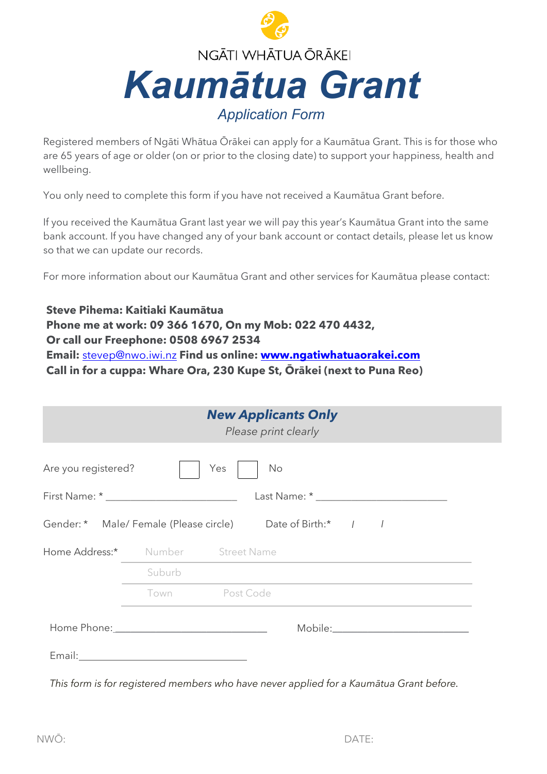

Registered members of Ngāti Whātua Ōrākei can apply for a Kaumātua Grant. This is for those who are 65 years of age or older (on or prior to the closing date) to support your happiness, health and wellbeing.

You only need to complete this form if you have not received a Kaumātua Grant before.

If you received the Kaumātua Grant last year we will pay this year's Kaumātua Grant into the same bank account. If you have changed any of your bank account or contact details, please let us know so that we can update our records.

For more information about our Kaumātua Grant and other services for Kaumātua please contact:

**Steve Pihema: Kaitiaki Kaumātua Phone me at work: 09 366 1670, On my Mob: 022 470 4432, Or call our Freephone: 0508 6967 2534 Email:** stevep@nwo.iwi.nz **Find us online: www.ngatiwhatuaorakei.com Call in for a cuppa: Whare Ora, 230 Kupe St, Ōrākei (next to Puna Reo)**

| <b>New Applicants Only</b><br>Please print clearly                                                             |        |                  |  |  |  |  |  |  |  |  |  |
|----------------------------------------------------------------------------------------------------------------|--------|------------------|--|--|--|--|--|--|--|--|--|
| Are you registered?                                                                                            |        | Yes<br><b>No</b> |  |  |  |  |  |  |  |  |  |
|                                                                                                                |        |                  |  |  |  |  |  |  |  |  |  |
| Gender: * Male/Female (Please circle) Date of Birth: * / /                                                     |        |                  |  |  |  |  |  |  |  |  |  |
| Home Address:* Number Street Name                                                                              |        |                  |  |  |  |  |  |  |  |  |  |
|                                                                                                                | Suburb |                  |  |  |  |  |  |  |  |  |  |
|                                                                                                                | Town   | Post Code        |  |  |  |  |  |  |  |  |  |
|                                                                                                                |        |                  |  |  |  |  |  |  |  |  |  |
| Email: Email: Albert Management of the Management of the Management of the Management of the Management of the |        |                  |  |  |  |  |  |  |  |  |  |

*This form is for registered members who have never applied for a Kaumātua Grant before.*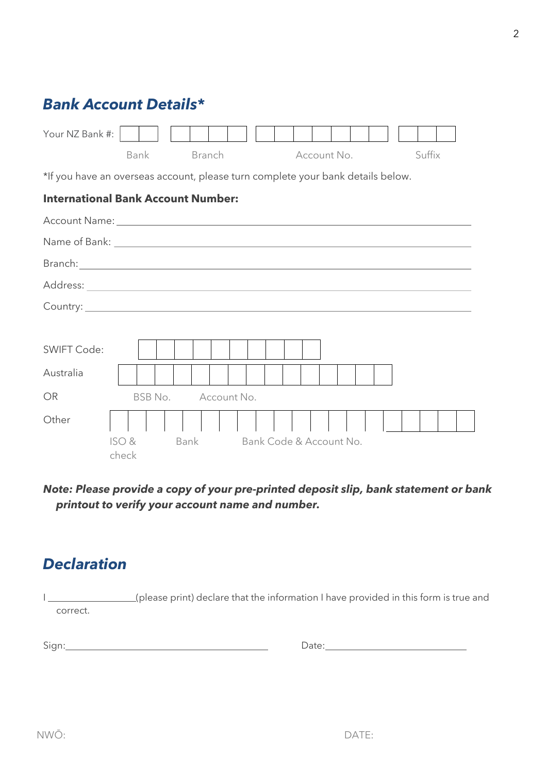## *Bank Account Details\**

| Your NZ Bank #:                                                                 |                |      |         |      |               |  |                         |  |  |  |  |             |  |  |        |  |  |
|---------------------------------------------------------------------------------|----------------|------|---------|------|---------------|--|-------------------------|--|--|--|--|-------------|--|--|--------|--|--|
|                                                                                 |                | Bank |         |      | <b>Branch</b> |  |                         |  |  |  |  | Account No. |  |  | Suffix |  |  |
| *If you have an overseas account, please turn complete your bank details below. |                |      |         |      |               |  |                         |  |  |  |  |             |  |  |        |  |  |
| <b>International Bank Account Number:</b>                                       |                |      |         |      |               |  |                         |  |  |  |  |             |  |  |        |  |  |
|                                                                                 |                |      |         |      |               |  |                         |  |  |  |  |             |  |  |        |  |  |
|                                                                                 |                |      |         |      |               |  |                         |  |  |  |  |             |  |  |        |  |  |
|                                                                                 |                |      |         |      |               |  |                         |  |  |  |  |             |  |  |        |  |  |
|                                                                                 |                |      |         |      |               |  |                         |  |  |  |  |             |  |  |        |  |  |
|                                                                                 |                |      |         |      |               |  |                         |  |  |  |  |             |  |  |        |  |  |
|                                                                                 |                |      |         |      |               |  |                         |  |  |  |  |             |  |  |        |  |  |
| <b>SWIFT Code:</b>                                                              |                |      |         |      |               |  |                         |  |  |  |  |             |  |  |        |  |  |
| Australia                                                                       |                |      |         |      |               |  |                         |  |  |  |  |             |  |  |        |  |  |
| <b>OR</b>                                                                       |                |      | BSB No. |      | Account No.   |  |                         |  |  |  |  |             |  |  |        |  |  |
| Other                                                                           |                |      |         |      |               |  |                         |  |  |  |  |             |  |  |        |  |  |
|                                                                                 | ISO &<br>check |      |         | Bank |               |  | Bank Code & Account No. |  |  |  |  |             |  |  |        |  |  |

### *Note: Please provide a copy of your pre-printed deposit slip, bank statement or bank printout to verify your account name and number.*

# *Declaration*

I \_\_\_\_\_\_\_\_\_\_\_\_\_\_\_(please print) declare that the information I have provided in this form is true and correct.

Sign: Date: Date: Date: